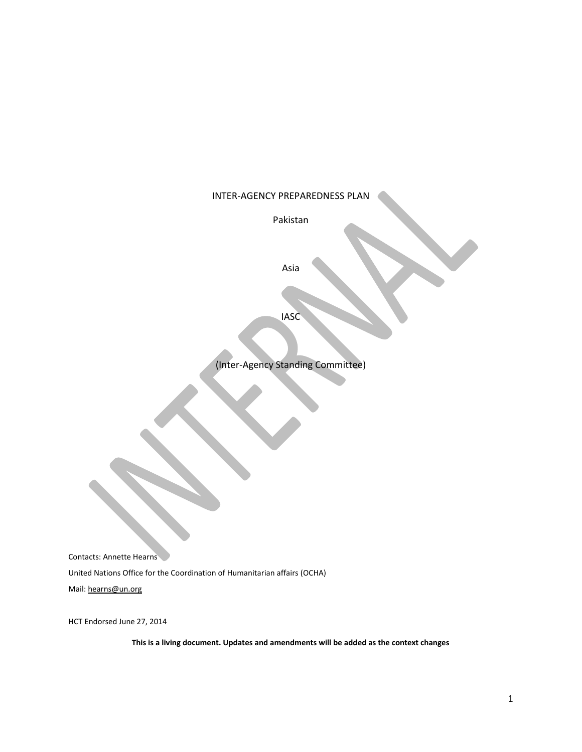### INTER-AGENCY PREPAREDNESS PLAN

Pakistan

Asia

IASC

(Inter-Agency Standing Committee)

Contacts: Annette Hearns

United Nations Office for the Coordination of Humanitarian affairs (OCHA)

Mail: [hearns@un.org](mailto:hearns@un.org)

HCT Endorsed June 27, 2014

**This is a living document. Updates and amendments will be added as the context changes**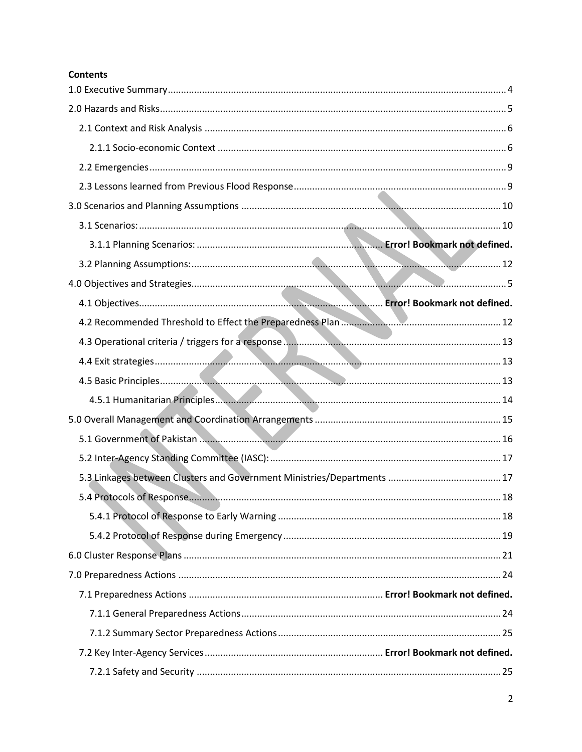# **Contents**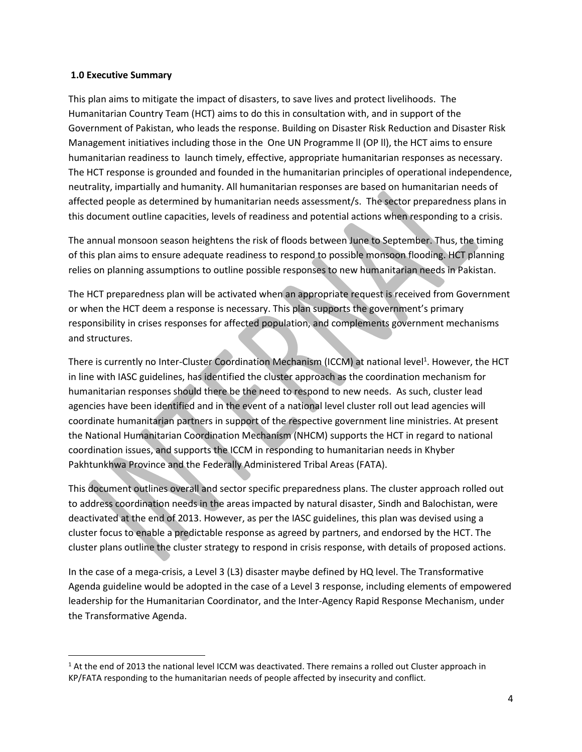#### <span id="page-3-0"></span>**1.0 Executive Summary**

l

This plan aims to mitigate the impact of disasters, to save lives and protect livelihoods. The Humanitarian Country Team (HCT) aims to do this in consultation with, and in support of the Government of Pakistan, who leads the response. Building on Disaster Risk Reduction and Disaster Risk Management initiatives including those in the One UN Programme ll (OP ll), the HCT aims to ensure humanitarian readiness to launch timely, effective, appropriate humanitarian responses as necessary. The HCT response is grounded and founded in the humanitarian principles of operational independence, neutrality, impartially and humanity. All humanitarian responses are based on humanitarian needs of affected people as determined by humanitarian needs assessment/s. The sector preparedness plans in this document outline capacities, levels of readiness and potential actions when responding to a crisis.

The annual monsoon season heightens the risk of floods between June to September. Thus, the timing of this plan aims to ensure adequate readiness to respond to possible monsoon flooding. HCT planning relies on planning assumptions to outline possible responses to new humanitarian needs in Pakistan.

The HCT preparedness plan will be activated when an appropriate request is received from Government or when the HCT deem a response is necessary. This plan supports the government's primary responsibility in crises responses for affected population, and complements government mechanisms and structures.

There is currently no Inter-Cluster Coordination Mechanism (ICCM) at national level<sup>1</sup>. However, the HCT in line with IASC guidelines, has identified the cluster approach as the coordination mechanism for humanitarian responses should there be the need to respond to new needs. As such, cluster lead agencies have been identified and in the event of a national level cluster roll out lead agencies will coordinate humanitarian partners in support of the respective government line ministries. At present the National Humanitarian Coordination Mechanism (NHCM) supports the HCT in regard to national coordination issues, and supports the ICCM in responding to humanitarian needs in Khyber Pakhtunkhwa Province and the Federally Administered Tribal Areas (FATA).

This document outlines overall and sector specific preparedness plans. The cluster approach rolled out to address coordination needs in the areas impacted by natural disaster, Sindh and Balochistan, were deactivated at the end of 2013. However, as per the IASC guidelines, this plan was devised using a cluster focus to enable a predictable response as agreed by partners, and endorsed by the HCT. The cluster plans outline the cluster strategy to respond in crisis response, with details of proposed actions.

In the case of a mega-crisis, a Level 3 (L3) disaster maybe defined by HQ level. The Transformative Agenda guideline would be adopted in the case of a Level 3 response, including elements of empowered leadership for the Humanitarian Coordinator, and the Inter-Agency Rapid Response Mechanism, under the Transformative Agenda.

 $1$  At the end of 2013 the national level ICCM was deactivated. There remains a rolled out Cluster approach in KP/FATA responding to the humanitarian needs of people affected by insecurity and conflict.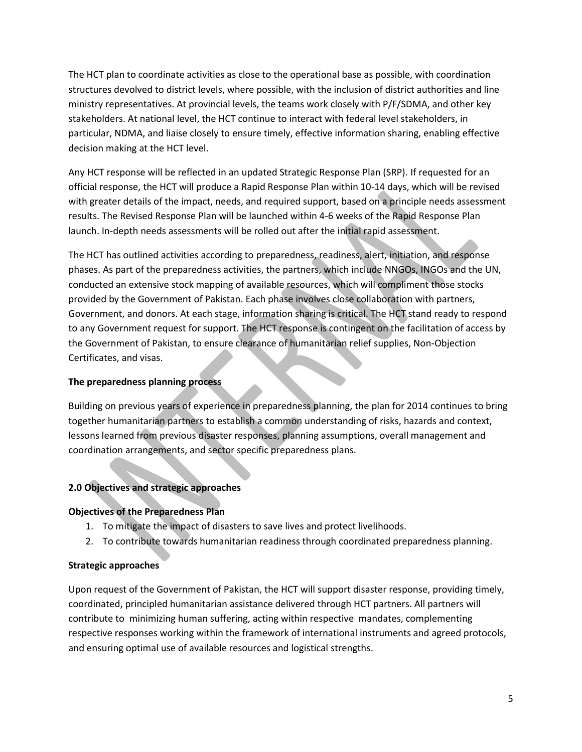The HCT plan to coordinate activities as close to the operational base as possible, with coordination structures devolved to district levels, where possible, with the inclusion of district authorities and line ministry representatives. At provincial levels, the teams work closely with P/F/SDMA, and other key stakeholders. At national level, the HCT continue to interact with federal level stakeholders, in particular, NDMA, and liaise closely to ensure timely, effective information sharing, enabling effective decision making at the HCT level.

Any HCT response will be reflected in an updated Strategic Response Plan (SRP). If requested for an official response, the HCT will produce a Rapid Response Plan within 10-14 days, which will be revised with greater details of the impact, needs, and required support, based on a principle needs assessment results. The Revised Response Plan will be launched within 4-6 weeks of the Rapid Response Plan launch. In-depth needs assessments will be rolled out after the initial rapid assessment.

The HCT has outlined activities according to preparedness, readiness, alert, initiation, and response phases. As part of the preparedness activities, the partners, which include NNGOs, INGOs and the UN, conducted an extensive stock mapping of available resources, which will compliment those stocks provided by the Government of Pakistan. Each phase involves close collaboration with partners, Government, and donors. At each stage, information sharing is critical. The HCT stand ready to respond to any Government request for support. The HCT response is contingent on the facilitation of access by the Government of Pakistan, to ensure clearance of humanitarian relief supplies, Non-Objection Certificates, and visas.

## <span id="page-4-0"></span>**The preparedness planning process**

Building on previous years of experience in preparedness planning, the plan for 2014 continues to bring together humanitarian partners to establish a common understanding of risks, hazards and context, lessons learned from previous disaster responses, planning assumptions, overall management and coordination arrangements, and sector specific preparedness plans.

## <span id="page-4-1"></span>**2.0 Objectives and strategic approaches**

### **Objectives of the Preparedness Plan**

- 1. To mitigate the impact of disasters to save lives and protect livelihoods.
- 2. To contribute towards humanitarian readiness through coordinated preparedness planning.

### **Strategic approaches**

Upon request of the Government of Pakistan, the HCT will support disaster response, providing timely, coordinated, principled humanitarian assistance delivered through HCT partners. All partners will contribute to minimizing human suffering, acting within respective mandates, complementing respective responses working within the framework of international instruments and agreed protocols, and ensuring optimal use of available resources and logistical strengths.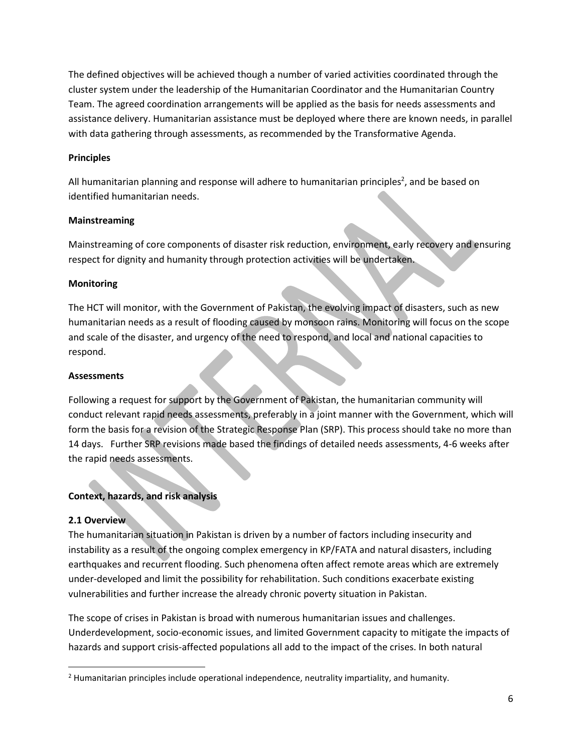The defined objectives will be achieved though a number of varied activities coordinated through the cluster system under the leadership of the Humanitarian Coordinator and the Humanitarian Country Team. The agreed coordination arrangements will be applied as the basis for needs assessments and assistance delivery. Humanitarian assistance must be deployed where there are known needs, in parallel with data gathering through assessments, as recommended by the Transformative Agenda.

### **Principles**

All humanitarian planning and response will adhere to humanitarian principles<sup>2</sup>, and be based on identified humanitarian needs.

### **Mainstreaming**

Mainstreaming of core components of disaster risk reduction, environment, early recovery and ensuring respect for dignity and humanity through protection activities will be undertaken.

### **Monitoring**

The HCT will monitor, with the Government of Pakistan, the evolving impact of disasters, such as new humanitarian needs as a result of flooding caused by monsoon rains. Monitoring will focus on the scope and scale of the disaster, and urgency of the need to respond, and local and national capacities to respond.

### **Assessments**

Following a request for support by the Government of Pakistan, the humanitarian community will conduct relevant rapid needs assessments, preferably in a joint manner with the Government, which will form the basis for a revision of the Strategic Response Plan (SRP). This process should take no more than 14 days. Further SRP revisions made based the findings of detailed needs assessments, 4-6 weeks after the rapid needs assessments.

## **Context, hazards, and risk analysis**

### <span id="page-5-0"></span>**2.1 Overview**

 $\overline{\phantom{a}}$ 

<span id="page-5-1"></span>The humanitarian situation in Pakistan is driven by a number of factors including insecurity and instability as a result of the ongoing complex emergency in KP/FATA and natural disasters, including earthquakes and recurrent flooding. Such phenomena often affect remote areas which are extremely under-developed and limit the possibility for rehabilitation. Such conditions exacerbate existing vulnerabilities and further increase the already chronic poverty situation in Pakistan.

The scope of crises in Pakistan is broad with numerous humanitarian issues and challenges. Underdevelopment, socio-economic issues, and limited Government capacity to mitigate the impacts of hazards and support crisis-affected populations all add to the impact of the crises. In both natural

 $<sup>2</sup>$  Humanitarian principles include operational independence, neutrality impartiality, and humanity.</sup>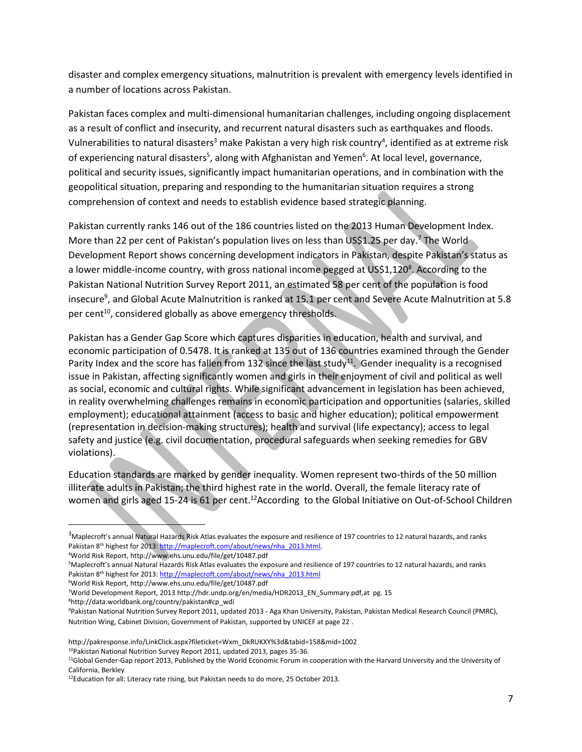disaster and complex emergency situations, malnutrition is prevalent with emergency levels identified in a number of locations across Pakistan.

Pakistan faces complex and multi-dimensional humanitarian challenges, including ongoing displacement as a result of conflict and insecurity, and recurrent natural disasters such as earthquakes and floods. Vulnerabilities to natural disasters<sup>3</sup> make Pakistan a very high risk country<sup>4</sup>, identified as at extreme risk of experiencing natural disasters<sup>5</sup>, along with Afghanistan and Yemen<sup>6</sup>. At local level, governance, political and security issues, significantly impact humanitarian operations, and in combination with the geopolitical situation, preparing and responding to the humanitarian situation requires a strong comprehension of context and needs to establish evidence based strategic planning.

Pakistan currently ranks 146 out of the 186 countries listed on the 2013 Human Development Index. More than 22 per cent of Pakistan's population lives on less than US\$1.25 per day.<sup>7</sup> The World Development Report shows concerning development indicators in Pakistan, despite Pakistan's status as a lower middle-income country, with gross national income pegged at US\$1,120<sup>8</sup>. According to the Pakistan National Nutrition Survey Report 2011, an estimated 58 per cent of the population is food insecure<sup>9</sup>, and Global Acute Malnutrition is ranked at 15.1 per cent and Severe Acute Malnutrition at 5.8 per cent<sup>10</sup>, considered globally as above emergency thresholds.

Pakistan has a Gender Gap Score which captures disparities in education, health and survival, and economic participation of 0.5478. It is ranked at 135 out of 136 countries examined through the Gender Parity Index and the score has fallen from 132 since the last study<sup>11</sup>. Gender inequality is a recognised issue in Pakistan, affecting significantly women and girls in their enjoyment of civil and political as well as social, economic and cultural rights. While significant advancement in legislation has been achieved, in reality overwhelming challenges remains in economic participation and opportunities (salaries, skilled employment); educational attainment (access to basic and higher education); political empowerment (representation in decision-making structures); health and survival (life expectancy); access to legal safety and justice (e.g. civil documentation, procedural safeguards when seeking remedies for GBV violations).

Education standards are marked by gender inequality. Women represent two-thirds of the 50 million illiterate adults in Pakistan; the third highest rate in the world. Overall, the female literacy rate of women and girls aged 15-24 is 61 per cent.<sup>12</sup>According to the Global Initiative on Out-of-School Children

<sup>8</sup>[http://data.worldbank.org/country/pakistan#cp\\_wdi](http://data.worldbank.org/country/pakistan)

 $\overline{\phantom{a}}$ 

<sup>&</sup>lt;sup>3</sup>Maplecroft's annual Natural Hazards Risk Atlas evaluates the exposure and resilience of 197 countries to 12 natural hazards, and ranks Pakistan 8th highest for 2013[: http://maplecroft.com/about/news/nha\\_2013.html.](http://maplecroft.com/about/news/nha_2013.html)

<sup>4</sup>World Risk Report, http://www.ehs.unu.edu/file/get/10487.pdf

<sup>5</sup>Maplecroft's annual Natural Hazards Risk Atlas evaluates the exposure and resilience of 197 countries to 12 natural hazards, and ranks Pakistan 8th highest for 2013[: http://maplecroft.com/about/news/nha\\_2013.html](http://maplecroft.com/about/news/nha_2013.html)

<sup>6</sup>World Risk Report, http://www.ehs.unu.edu/file/get/10487.pdf

<sup>7</sup>World Development Report, 2013 http://hdr.undp.org/en/media/HDR2013\_EN\_Summary.pdf,at pg. 15

<sup>9</sup>Pakistan National Nutrition Survey Report 2011, updated 2013 - Aga Khan University, Pakistan, Pakistan Medical Research Council (PMRC), Nutrition Wing, Cabinet Division, Government of Pakistan, supported by UNICEF at page 22 .

[http://pakresponse.info/LinkClick.aspx?fileticket=Wxm\\_DkRUKXY%3d&tabid=158&mid=1002](http://pakresponse.info/LinkClick.aspx?fileticket=Wxm_DkRUKXY%3d&tabid=158&mid=1002)

<sup>&</sup>lt;sup>10</sup>Pakistan National Nutrition Survey Report 2011, updated 2013, pages 35-36.

<sup>11</sup>Global Gender-Gap report 2013, Published by the World Economic Forum in cooperation with the Harvard University and the University of California, Berkley

<sup>12</sup>Education for all: Literacy rate rising, but Pakistan needs to do more, 25 October 2013.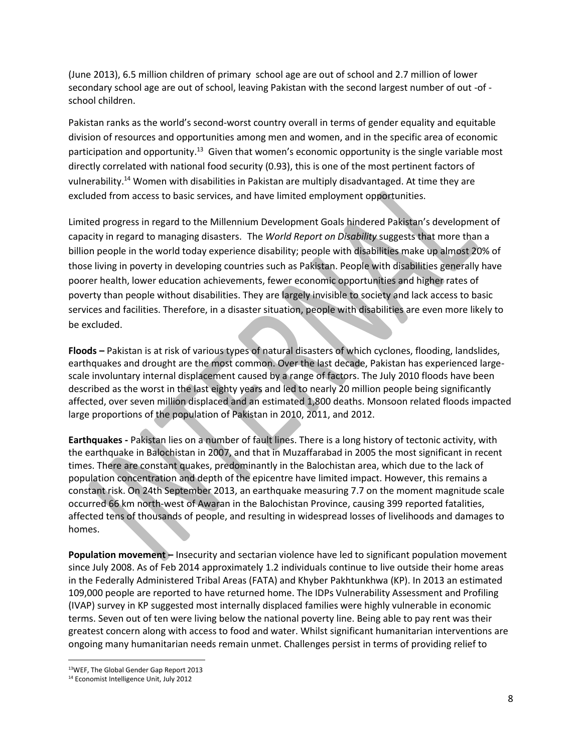(June 2013), 6.5 million children of primary school age are out of school and 2.7 million of lower secondary school age are out of school, leaving Pakistan with the second largest number of out -of school children.

Pakistan ranks as the world's second-worst country overall in terms of gender equality and equitable division of resources and opportunities among men and women, and in the specific area of economic participation and opportunity.<sup>13</sup> Given that women's economic opportunity is the single variable most directly correlated with national food security (0.93), this is one of the most pertinent factors of vulnerability.<sup>14</sup> Women with disabilities in Pakistan are multiply disadvantaged. At time they are excluded from access to basic services, and have limited employment opportunities.

Limited progress in regard to the Millennium Development Goals hindered Pakistan's development of capacity in regard to managing disasters. The *World Report on Disability* suggests that more than a billion people in the world today experience disability; people with disabilities make up almost 20% of those living in poverty in developing countries such as Pakistan. People with disabilities generally have poorer health, lower education achievements, fewer economic opportunities and higher rates of poverty than people without disabilities. They are largely invisible to society and lack access to basic services and facilities. Therefore, in a disaster situation, people with disabilities are even more likely to be excluded.

**Floods –** Pakistan is at risk of various types of natural disasters of which cyclones, flooding, landslides, earthquakes and drought are the most common. Over the last decade, Pakistan has experienced largescale involuntary internal displacement caused by a range of factors. The July 2010 floods have been described as the worst in the last eighty years and led to nearly 20 million people being significantly affected, over seven million displaced and an estimated 1,800 deaths. Monsoon related floods impacted large proportions of the population of Pakistan in 2010, 2011, and 2012.

**Earthquakes -** Pakistan lies on a number of fault lines. There is a long history of tectonic activity, with the earthquake in Balochistan in 2007, and that in Muzaffarabad in 2005 the most significant in recent times. There are constant quakes, predominantly in the Balochistan area, which due to the lack of population concentration and depth of the epicentre have limited impact. However, this remains a constant risk. On 24th September 2013, an earthquake measuring 7.7 on the moment magnitude scale occurred 66 km north-west of Awaran in the Balochistan Province, causing 399 reported fatalities, affected tens of thousands of people, and resulting in widespread losses of livelihoods and damages to homes.

**Population movement –** Insecurity and sectarian violence have led to significant population movement since July 2008. As of Feb 2014 approximately 1.2 individuals continue to live outside their home areas in the Federally Administered Tribal Areas (FATA) and Khyber Pakhtunkhwa (KP). In 2013 an estimated 109,000 people are reported to have returned home. The IDPs Vulnerability Assessment and Profiling (IVAP) survey in KP suggested most internally displaced families were highly vulnerable in economic terms. Seven out of ten were living below the national poverty line. Being able to pay rent was their greatest concern along with access to food and water. Whilst significant humanitarian interventions are ongoing many humanitarian needs remain unmet. Challenges persist in terms of providing relief to

 $\overline{a}$ 

<sup>13</sup>WEF, The Global Gender Gap Report 2013

<sup>14</sup> Economist Intelligence Unit, July 2012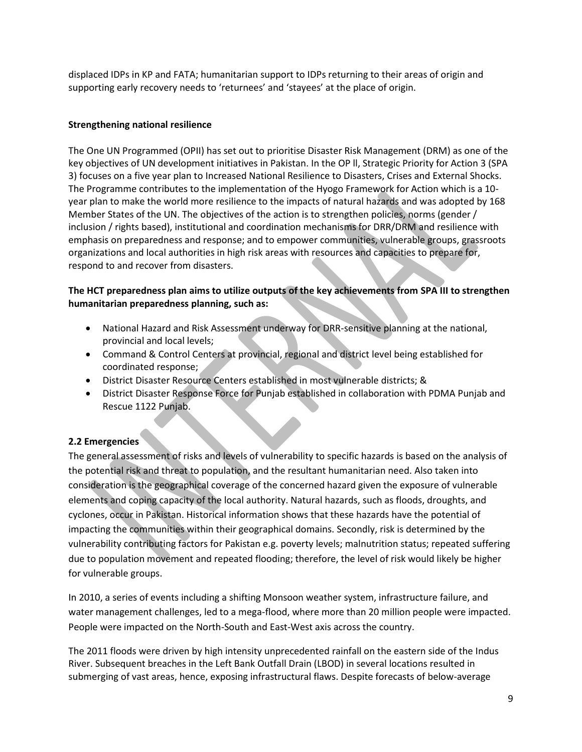displaced IDPs in KP and FATA; humanitarian support to IDPs returning to their areas of origin and supporting early recovery needs to 'returnees' and 'stayees' at the place of origin.

## **Strengthening national resilience**

The One UN Programmed (OPII) has set out to prioritise Disaster Risk Management (DRM) as one of the key objectives of UN development initiatives in Pakistan. In the OP ll, Strategic Priority for Action 3 (SPA 3) focuses on a five year plan to Increased National Resilience to Disasters, Crises and External Shocks. The Programme contributes to the implementation of the Hyogo Framework for Action which is a 10 year plan to make the world more resilience to the impacts of natural hazards and was adopted by 168 Member States of the UN. The objectives of the action is to strengthen policies, norms (gender / inclusion / rights based), institutional and coordination mechanisms for DRR/DRM and resilience with emphasis on preparedness and response; and to empower communities, vulnerable groups, grassroots organizations and local authorities in high risk areas with resources and capacities to prepare for, respond to and recover from disasters.

## **The HCT preparedness plan aims to utilize outputs of the key achievements from SPA III to strengthen humanitarian preparedness planning, such as:**

- National Hazard and Risk Assessment underway for DRR-sensitive planning at the national, provincial and local levels;
- Command & Control Centers at provincial, regional and district level being established for coordinated response;
- District Disaster Resource Centers established in most vulnerable districts; &
- District Disaster Response Force for Punjab established in collaboration with PDMA Punjab and Rescue 1122 Punjab.

## <span id="page-8-0"></span>**2.2 Emergencies**

The general assessment of risks and levels of vulnerability to specific hazards is based on the analysis of the potential risk and threat to population, and the resultant humanitarian need. Also taken into consideration is the geographical coverage of the concerned hazard given the exposure of vulnerable elements and coping capacity of the local authority. Natural hazards, such as floods, droughts, and cyclones, occur in Pakistan. Historical information shows that these hazards have the potential of impacting the communities within their geographical domains. Secondly, risk is determined by the vulnerability contributing factors for Pakistan e.g. poverty levels; malnutrition status; repeated suffering due to population movement and repeated flooding; therefore, the level of risk would likely be higher for vulnerable groups.

In 2010, a series of events including a shifting Monsoon weather system, infrastructure failure, and water management challenges, led to a mega-flood, where more than 20 million people were impacted. People were impacted on the North-South and East-West axis across the country.

<span id="page-8-1"></span>The 2011 floods were driven by high intensity unprecedented rainfall on the eastern side of the Indus River. Subsequent breaches in the Left Bank Outfall Drain (LBOD) in several locations resulted in submerging of vast areas, hence, exposing infrastructural flaws. Despite forecasts of below-average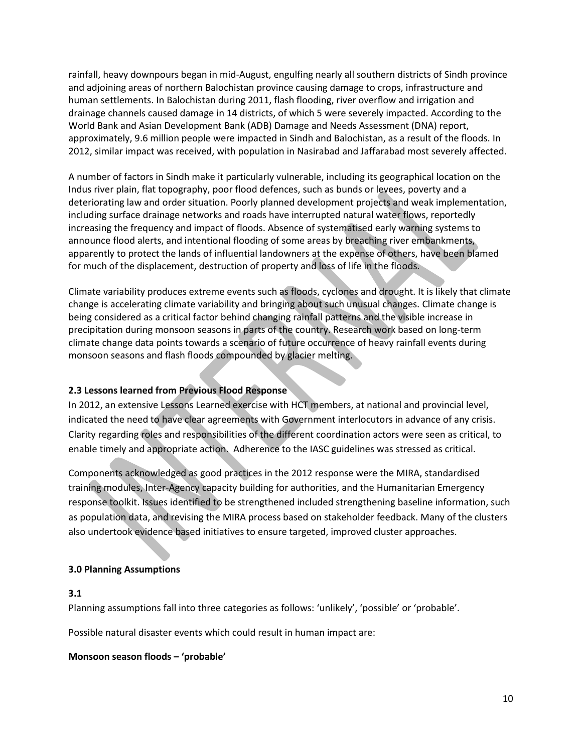rainfall, heavy downpours began in mid-August, engulfing nearly all southern districts of Sindh province and adjoining areas of northern Balochistan province causing damage to crops, infrastructure and human settlements. In Balochistan during 2011, flash flooding, river overflow and irrigation and drainage channels caused damage in 14 districts, of which 5 were severely impacted. According to the World Bank and Asian Development Bank (ADB) Damage and Needs Assessment (DNA) report, approximately, 9.6 million people were impacted in Sindh and Balochistan, as a result of the floods. In 2012, similar impact was received, with population in Nasirabad and Jaffarabad most severely affected.

A number of factors in Sindh make it particularly vulnerable, including its geographical location on the Indus river plain, flat topography, poor flood defences, such as bunds or levees, poverty and a deteriorating law and order situation. Poorly planned development projects and weak implementation, including surface drainage networks and roads have interrupted natural water flows, reportedly increasing the frequency and impact of floods. Absence of systematised early warning systems to announce flood alerts, and intentional flooding of some areas by breaching river embankments, apparently to protect the lands of influential landowners at the expense of others, have been blamed for much of the displacement, destruction of property and loss of life in the floods.

Climate variability produces extreme events such as floods, cyclones and drought. It is likely that climate change is accelerating climate variability and bringing about such unusual changes. Climate change is being considered as a critical factor behind changing rainfall patterns and the visible increase in precipitation during monsoon seasons in parts of the country. Research work based on long-term climate change data points towards a scenario of future occurrence of heavy rainfall events during monsoon seasons and flash floods compounded by glacier melting.

## **2.3 Lessons learned from Previous Flood Response**

In 2012, an extensive Lessons Learned exercise with HCT members, at national and provincial level, indicated the need to have clear agreements with Government interlocutors in advance of any crisis. Clarity regarding roles and responsibilities of the different coordination actors were seen as critical, to enable timely and appropriate action. Adherence to the IASC guidelines was stressed as critical.

Components acknowledged as good practices in the 2012 response were the MIRA, standardised training modules, Inter-Agency capacity building for authorities, and the Humanitarian Emergency response toolkit. Issues identified to be strengthened included strengthening baseline information, such as population data, and revising the MIRA process based on stakeholder feedback. Many of the clusters also undertook evidence based initiatives to ensure targeted, improved cluster approaches.

## <span id="page-9-0"></span>**3.0 Planning Assumptions**

## <span id="page-9-1"></span>**3.1**

Planning assumptions fall into three categories as follows: 'unlikely', 'possible' or 'probable'.

Possible natural disaster events which could result in human impact are:

## **Monsoon season floods – 'probable'**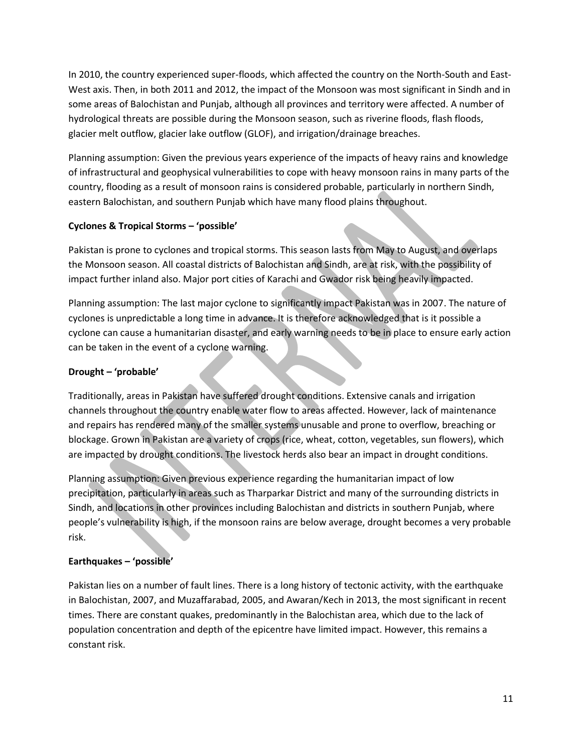In 2010, the country experienced super-floods, which affected the country on the North-South and East-West axis. Then, in both 2011 and 2012, the impact of the Monsoon was most significant in Sindh and in some areas of Balochistan and Punjab, although all provinces and territory were affected. A number of hydrological threats are possible during the Monsoon season, such as riverine floods, flash floods, glacier melt outflow, glacier lake outflow (GLOF), and irrigation/drainage breaches.

Planning assumption: Given the previous years experience of the impacts of heavy rains and knowledge of infrastructural and geophysical vulnerabilities to cope with heavy monsoon rains in many parts of the country, flooding as a result of monsoon rains is considered probable, particularly in northern Sindh, eastern Balochistan, and southern Punjab which have many flood plains throughout.

## **Cyclones & Tropical Storms – 'possible'**

Pakistan is prone to cyclones and tropical storms. This season lasts from May to August, and overlaps the Monsoon season. All coastal districts of Balochistan and Sindh, are at risk, with the possibility of impact further inland also. Major port cities of Karachi and Gwador risk being heavily impacted.

Planning assumption: The last major cyclone to significantly impact Pakistan was in 2007. The nature of cyclones is unpredictable a long time in advance. It is therefore acknowledged that is it possible a cyclone can cause a humanitarian disaster, and early warning needs to be in place to ensure early action can be taken in the event of a cyclone warning.

# **Drought – 'probable'**

Traditionally, areas in Pakistan have suffered drought conditions. Extensive canals and irrigation channels throughout the country enable water flow to areas affected. However, lack of maintenance and repairs has rendered many of the smaller systems unusable and prone to overflow, breaching or blockage. Grown in Pakistan are a variety of crops (rice, wheat, cotton, vegetables, sun flowers), which are impacted by drought conditions. The livestock herds also bear an impact in drought conditions.

Planning assumption: Given previous experience regarding the humanitarian impact of low precipitation, particularly in areas such as Tharparkar District and many of the surrounding districts in Sindh, and locations in other provinces including Balochistan and districts in southern Punjab, where people's vulnerability is high, if the monsoon rains are below average, drought becomes a very probable risk.

# **Earthquakes – 'possible'**

Pakistan lies on a number of fault lines. There is a long history of tectonic activity, with the earthquake in Balochistan, 2007, and Muzaffarabad, 2005, and Awaran/Kech in 2013, the most significant in recent times. There are constant quakes, predominantly in the Balochistan area, which due to the lack of population concentration and depth of the epicentre have limited impact. However, this remains a constant risk.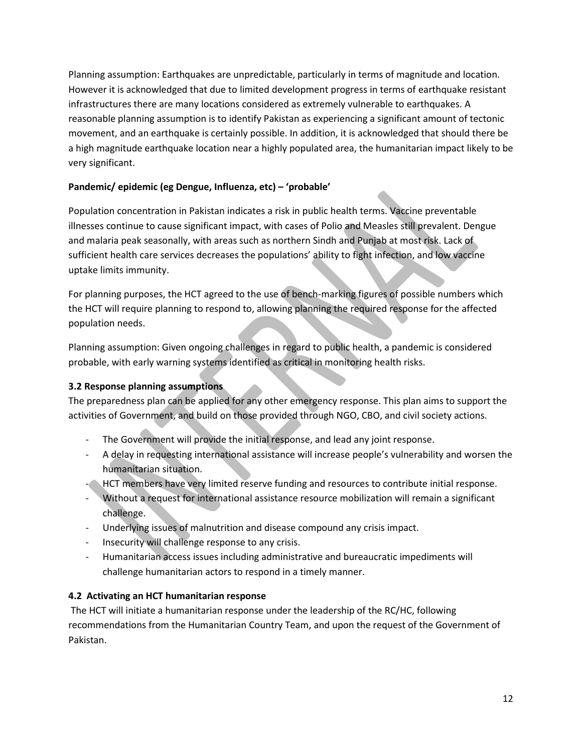Planning assumption: Earthquakes are unpredictable, particularly in terms of magnitude and location. However it is acknowledged that due to limited development progress in terms of earthquake resistant infrastructures there are many locations considered as extremely vulnerable to earthquakes. A reasonable planning assumption is to identify Pakistan as experiencing a significant amount of tectonic movement, and an earthquake is certainly possible. In addition, it is acknowledged that should there be a high magnitude earthquake location near a highly populated area, the humanitarian impact likely to be very significant.

# **Pandemic/ epidemic (eg Dengue, Influenza, etc) – 'probable'**

Population concentration in Pakistan indicates a risk in public health terms. Vaccine preventable illnesses continue to cause significant impact, with cases of Polio and Measles still prevalent. Dengue and malaria peak seasonally, with areas such as northern Sindh and Punjab at most risk. Lack of sufficient health care services decreases the populations' ability to fight infection, and low vaccine uptake limits immunity.

For planning purposes, the HCT agreed to the use of bench-marking figures of possible numbers which the HCT will require planning to respond to, allowing planning the required response for the affected population needs.

Planning assumption: Given ongoing challenges in regard to public health, a pandemic is considered probable, with early warning systems identified as critical in monitoring health risks.

## <span id="page-11-0"></span>**3.2 Response planning assumptions**

The preparedness plan can be applied for any other emergency response. This plan aims to support the activities of Government, and build on those provided through NGO, CBO, and civil society actions.

- The Government will provide the initial response, and lead any joint response.
- A delay in requesting international assistance will increase people's vulnerability and worsen the humanitarian situation.
- HCT members have very limited reserve funding and resources to contribute initial response.
- Without a request for international assistance resource mobilization will remain a significant challenge.
- Underlying issues of malnutrition and disease compound any crisis impact.
- Insecurity will challenge response to any crisis.
- Humanitarian access issues including administrative and bureaucratic impediments will challenge humanitarian actors to respond in a timely manner.

## <span id="page-11-1"></span>**4.2 Activating an HCT humanitarian response**

The HCT will initiate a humanitarian response under the leadership of the RC/HC, following recommendations from the Humanitarian Country Team, and upon the request of the Government of Pakistan.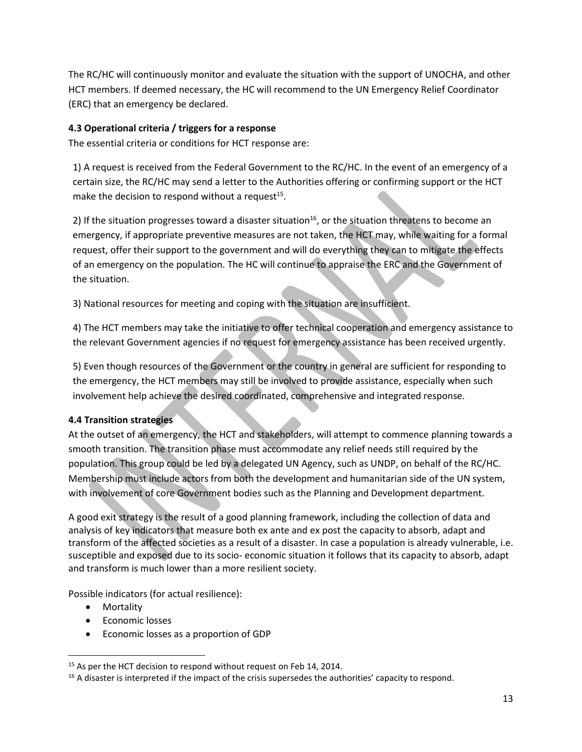The RC/HC will continuously monitor and evaluate the situation with the support of UNOCHA, and other HCT members. If deemed necessary, the HC will recommend to the UN Emergency Relief Coordinator (ERC) that an emergency be declared.

# <span id="page-12-0"></span>**4.3 Operational criteria / triggers for a response**

The essential criteria or conditions for HCT response are:

1) A request is received from the Federal Government to the RC/HC. In the event of an emergency of a certain size, the RC/HC may send a letter to the Authorities offering or confirming support or the HCT make the decision to respond without a request<sup>15</sup>.

2) If the situation progresses toward a disaster situation<sup>16</sup>, or the situation threatens to become an emergency, if appropriate preventive measures are not taken, the HCT may, while waiting for a formal request, offer their support to the government and will do everything they can to mitigate the effects of an emergency on the population. The HC will continue to appraise the ERC and the Government of the situation.

3) National resources for meeting and coping with the situation are insufficient.

4) The HCT members may take the initiative to offer technical cooperation and emergency assistance to the relevant Government agencies if no request for emergency assistance has been received urgently.

5) Even though resources of the Government or the country in general are sufficient for responding to the emergency, the HCT members may still be involved to provide assistance, especially when such involvement help achieve the desired coordinated, comprehensive and integrated response.

## <span id="page-12-1"></span>**4.4 Transition strategies**

At the outset of an emergency, the HCT and stakeholders, will attempt to commence planning towards a smooth transition. The transition phase must accommodate any relief needs still required by the population. This group could be led by a delegated UN Agency, such as UNDP, on behalf of the RC/HC. Membership must include actors from both the development and humanitarian side of the UN system, with involvement of core Government bodies such as the Planning and Development department.

<span id="page-12-2"></span>A good exit strategy is the result of a good planning framework, including the collection of data and analysis of key indicators that measure both ex ante and ex post the capacity to absorb, adapt and transform of the affected societies as a result of a disaster. In case a population is already vulnerable, i.e. susceptible and exposed due to its socio- economic situation it follows that its capacity to absorb, adapt and transform is much lower than a more resilient society.

Possible indicators (for actual resilience):

• Mortality

l

- **•** Economic losses
- Economic losses as a proportion of GDP

<sup>&</sup>lt;sup>15</sup> As per the HCT decision to respond without request on Feb 14, 2014.

<sup>&</sup>lt;sup>16</sup> A disaster is interpreted if the impact of the crisis supersedes the authorities' capacity to respond.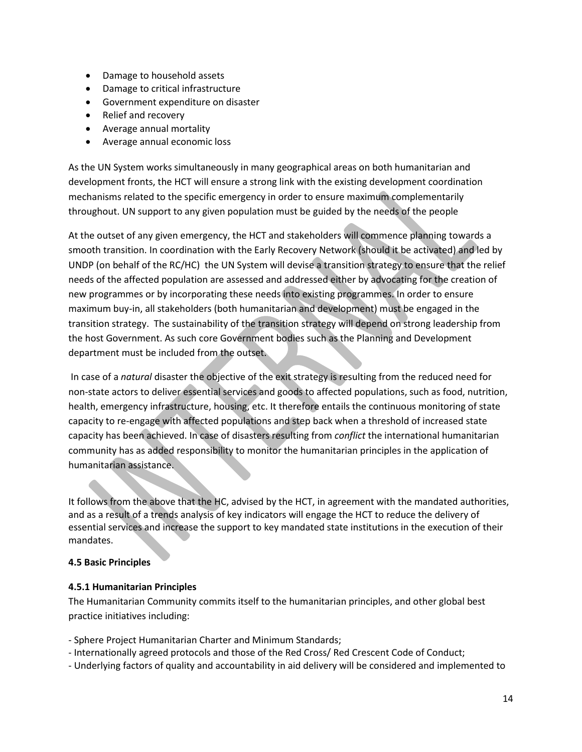- Damage to household assets
- Damage to critical infrastructure
- Government expenditure on disaster
- Relief and recovery
- Average annual mortality
- Average annual economic loss

As the UN System works simultaneously in many geographical areas on both humanitarian and development fronts, the HCT will ensure a strong link with the existing development coordination mechanisms related to the specific emergency in order to ensure maximum complementarily throughout. UN support to any given population must be guided by the needs of the people

At the outset of any given emergency, the HCT and stakeholders will commence planning towards a smooth transition. In coordination with the Early Recovery Network (should it be activated) and led by UNDP (on behalf of the RC/HC) the UN System will devise a transition strategy to ensure that the relief needs of the affected population are assessed and addressed either by advocating for the creation of new programmes or by incorporating these needs into existing programmes. In order to ensure maximum buy-in, all stakeholders (both humanitarian and development) must be engaged in the transition strategy. The sustainability of the transition strategy will depend on strong leadership from the host Government. As such core Government bodies such as the Planning and Development department must be included from the outset.

In case of a *natural* disaster the objective of the exit strategy is resulting from the reduced need for non-state actors to deliver essential services and goods to affected populations, such as food, nutrition, health, emergency infrastructure, housing, etc. It therefore entails the continuous monitoring of state capacity to re-engage with affected populations and step back when a threshold of increased state capacity has been achieved. In case of disasters resulting from *conflict* the international humanitarian community has as added responsibility to monitor the humanitarian principles in the application of humanitarian assistance.

It follows from the above that the HC, advised by the HCT, in agreement with the mandated authorities, and as a result of a trends analysis of key indicators will engage the HCT to reduce the delivery of essential services and increase the support to key mandated state institutions in the execution of their mandates.

### **4.5 Basic Principles**

### <span id="page-13-0"></span>**4.5.1 Humanitarian Principles**

The Humanitarian Community commits itself to the humanitarian principles, and other global best practice initiatives including:

- Sphere Project Humanitarian Charter and Minimum Standards;
- Internationally agreed protocols and those of the Red Cross/ Red Crescent Code of Conduct;
- Underlying factors of quality and accountability in aid delivery will be considered and implemented to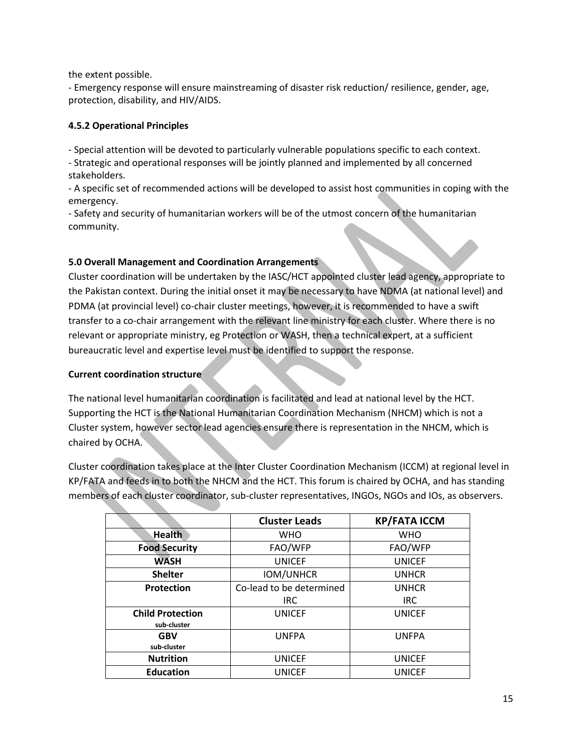the extent possible.

- Emergency response will ensure mainstreaming of disaster risk reduction/ resilience, gender, age, protection, disability, and HIV/AIDS.

## **4.5.2 Operational Principles**

- Special attention will be devoted to particularly vulnerable populations specific to each context.

- Strategic and operational responses will be jointly planned and implemented by all concerned stakeholders.

- A specific set of recommended actions will be developed to assist host communities in coping with the emergency.

- Safety and security of humanitarian workers will be of the utmost concern of the humanitarian community.

# <span id="page-14-0"></span>**5.0 Overall Management and Coordination Arrangements**

Cluster coordination will be undertaken by the IASC/HCT appointed cluster lead agency, appropriate to the Pakistan context. During the initial onset it may be necessary to have NDMA (at national level) and PDMA (at provincial level) co-chair cluster meetings, however, it is recommended to have a swift transfer to a co-chair arrangement with the relevant line ministry for each cluster. Where there is no relevant or appropriate ministry, eg Protection or WASH, then a technical expert, at a sufficient bureaucratic level and expertise level must be identified to support the response.

# **Current coordination structure**

The national level humanitarian coordination is facilitated and lead at national level by the HCT. Supporting the HCT is the National Humanitarian Coordination Mechanism (NHCM) which is not a Cluster system, however sector lead agencies ensure there is representation in the NHCM, which is chaired by OCHA.

Cluster coordination takes place at the Inter Cluster Coordination Mechanism (ICCM) at regional level in KP/FATA and feeds in to both the NHCM and the HCT. This forum is chaired by OCHA, and has standing members of each cluster coordinator, sub-cluster representatives, INGOs, NGOs and IOs, as observers.

|                         | <b>Cluster Leads</b>     | <b>KP/FATA ICCM</b> |
|-------------------------|--------------------------|---------------------|
| <b>Health</b>           | <b>WHO</b>               | <b>WHO</b>          |
| <b>Food Security</b>    | FAO/WFP                  | FAO/WFP             |
| <b>WASH</b>             | <b>UNICEF</b>            | <b>UNICEF</b>       |
| <b>Shelter</b>          | <b>IOM/UNHCR</b>         | <b>UNHCR</b>        |
| <b>Protection</b>       | Co-lead to be determined | <b>UNHCR</b>        |
|                         | <b>IRC</b>               | <b>IRC</b>          |
| <b>Child Protection</b> | <b>UNICEF</b>            | <b>UNICEF</b>       |
| sub-cluster             |                          |                     |
| <b>GBV</b>              | <b>UNFPA</b>             | <b>UNFPA</b>        |
| sub-cluster             |                          |                     |
| <b>Nutrition</b>        | <b>UNICEF</b>            | <b>UNICEF</b>       |
| <b>Education</b>        | <b>UNICEF</b>            | <b>UNICEF</b>       |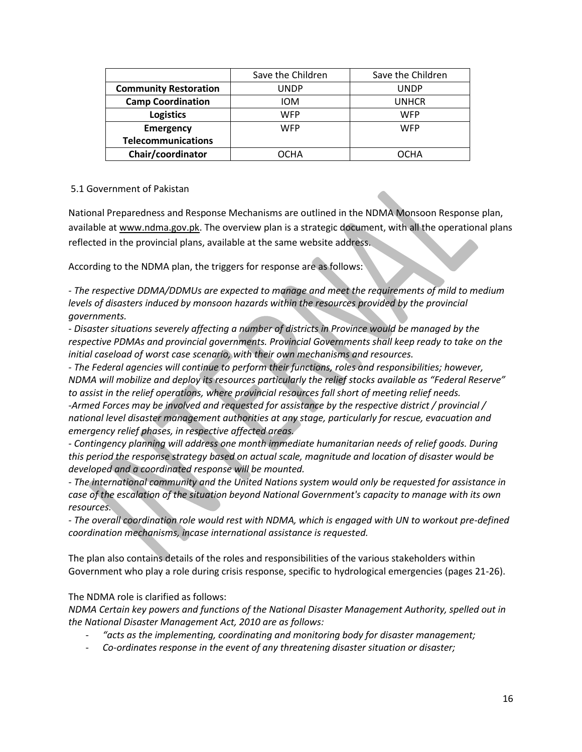|                              | Save the Children | Save the Children |
|------------------------------|-------------------|-------------------|
| <b>Community Restoration</b> | UNDP              | <b>UNDP</b>       |
| <b>Camp Coordination</b>     | <b>IOM</b>        | <b>UNHCR</b>      |
| <b>Logistics</b>             | WFP               | <b>WFP</b>        |
| <b>Emergency</b>             | WFP               | <b>WFP</b>        |
| <b>Telecommunications</b>    |                   |                   |
| Chair/coordinator            | ОСНА              | ОСНА              |

### <span id="page-15-0"></span>5.1 Government of Pakistan

National Preparedness and Response Mechanisms are outlined in the NDMA Monsoon Response plan, available a[t www.ndma.gov.pk.](http://www.ndma.gov.pk/) The overview plan is a strategic document, with all the operational plans reflected in the provincial plans, available at the same website address.

According to the NDMA plan, the triggers for response are as follows:

*- The respective DDMA/DDMUs are expected to manage and meet the requirements of mild to medium levels of disasters induced by monsoon hazards within the resources provided by the provincial governments.*

*- Disaster situations severely affecting a number of districts in Province would be managed by the respective PDMAs and provincial governments. Provincial Governments shall keep ready to take on the initial caseload of worst case scenario, with their own mechanisms and resources.*

*- The Federal agencies will continue to perform their functions, roles and responsibilities; however, NDMA will mobilize and deploy its resources particularly the relief stocks available as "Federal Reserve" to assist in the relief operations, where provincial resources fall short of meeting relief needs. -Armed Forces may be involved and requested for assistance by the respective district / provincial / national level disaster management authorities at any stage, particularly for rescue, evacuation and emergency relief phases, in respective affected areas.*

*- Contingency planning will address one month immediate humanitarian needs of relief goods. During this period the response strategy based on actual scale, magnitude and location of disaster would be developed and a coordinated response will be mounted.*

*- The international community and the United Nations system would only be requested for assistance in case of the escalation of the situation beyond National Government's capacity to manage with its own resources.*

*- The overall coordination role would rest with NDMA, which is engaged with UN to workout pre-defined coordination mechanisms, incase international assistance is requested.*

The plan also contains details of the roles and responsibilities of the various stakeholders within Government who play a role during crisis response, specific to hydrological emergencies (pages 21-26).

The NDMA role is clarified as follows:

*NDMA Certain key powers and functions of the National Disaster Management Authority, spelled out in the National Disaster Management Act, 2010 are as follows:*

- *"acts as the implementing, coordinating and monitoring body for disaster management;*
- *Co-ordinates response in the event of any threatening disaster situation or disaster;*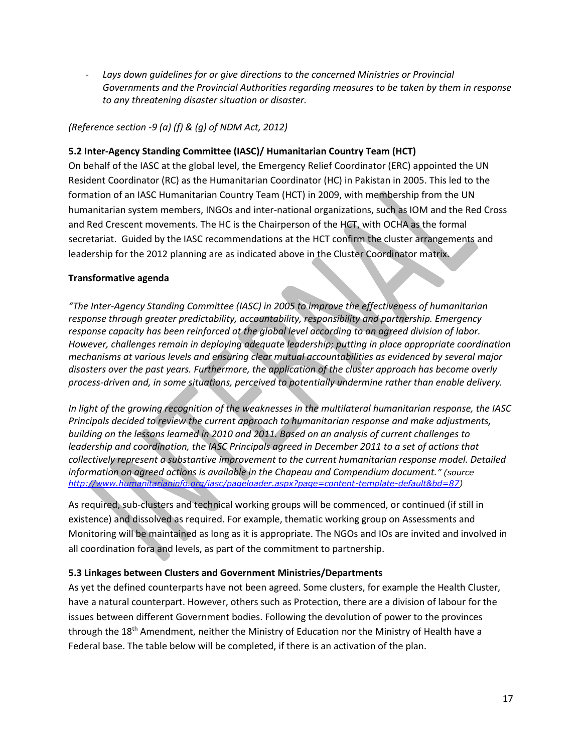Lays down quidelines for or give directions to the concerned Ministries or Provincial *Governments and the Provincial Authorities regarding measures to be taken by them in response to any threatening disaster situation or disaster.*

### *(Reference section -9 (a) (f) & (g) of NDM Act, 2012)*

### <span id="page-16-0"></span>**5.2 Inter-Agency Standing Committee (IASC)/ Humanitarian Country Team (HCT)**

On behalf of the IASC at the global level, the Emergency Relief Coordinator (ERC) appointed the UN Resident Coordinator (RC) as the Humanitarian Coordinator (HC) in Pakistan in 2005. This led to the formation of an IASC Humanitarian Country Team (HCT) in 2009, with membership from the UN humanitarian system members, INGOs and inter-national organizations, such as IOM and the Red Cross and Red Crescent movements. The HC is the Chairperson of the HCT, with OCHA as the formal secretariat. Guided by the IASC recommendations at the HCT confirm the cluster arrangements and leadership for the 2012 planning are as indicated above in the Cluster Coordinator matrix.

### **Transformative agenda**

*"The Inter-Agency Standing Committee (IASC) in 2005 to improve the effectiveness of humanitarian response through greater predictability, accountability, responsibility and partnership. Emergency response capacity has been reinforced at the global level according to an agreed division of labor. However, challenges remain in deploying adequate leadership; putting in place appropriate coordination mechanisms at various levels and ensuring clear mutual accountabilities as evidenced by several major disasters over the past years. Furthermore, the application of the cluster approach has become overly process-driven and, in some situations, perceived to potentially undermine rather than enable delivery.*

*In light of the growing recognition of the weaknesses in the multilateral humanitarian response, the IASC Principals decided to review the current approach to humanitarian response and make adjustments, building on the lessons learned in 2010 and 2011. Based on an analysis of current challenges to leadership and coordination, the IASC Principals agreed in December 2011 to a set of actions that collectively represent a substantive improvement to the current humanitarian response model. Detailed information on agreed actions is available in the Chapeau and Compendium document." (source [http://www.humanitarianinfo.org/iasc/pageloader.aspx?page=content-template-default&bd=87\)](http://www.humanitarianinfo.org/iasc/pageloader.aspx?page=content-template-default&bd=87)*

As required, sub-clusters and technical working groups will be commenced, or continued (if still in existence) and dissolved as required. For example, thematic working group on Assessments and Monitoring will be maintained as long as it is appropriate. The NGOs and IOs are invited and involved in all coordination fora and levels, as part of the commitment to partnership.

### <span id="page-16-1"></span>**5.3 Linkages between Clusters and Government Ministries/Departments**

As yet the defined counterparts have not been agreed. Some clusters, for example the Health Cluster, have a natural counterpart. However, others such as Protection, there are a division of labour for the issues between different Government bodies. Following the devolution of power to the provinces through the  $18<sup>th</sup>$  Amendment, neither the Ministry of Education nor the Ministry of Health have a Federal base. The table below will be completed, if there is an activation of the plan.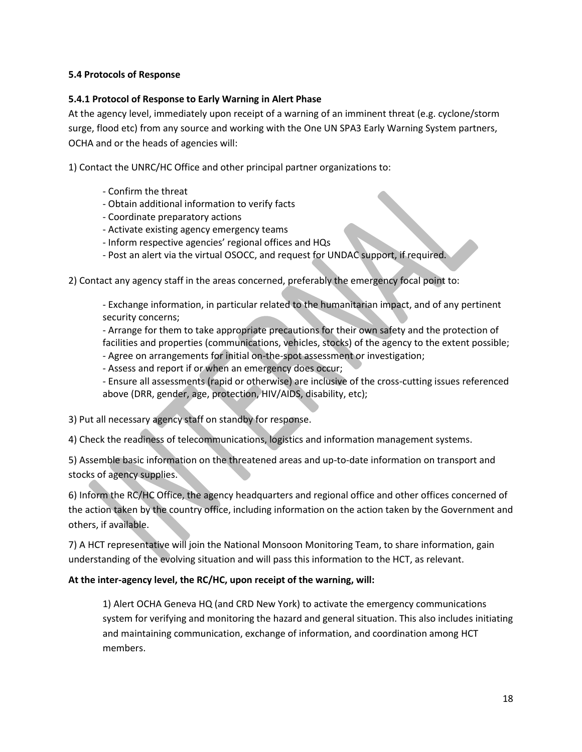### <span id="page-17-0"></span>**5.4 Protocols of Response**

### <span id="page-17-1"></span>**5.4.1 Protocol of Response to Early Warning in Alert Phase**

At the agency level, immediately upon receipt of a warning of an imminent threat (e.g. cyclone/storm surge, flood etc) from any source and working with the One UN SPA3 Early Warning System partners, OCHA and or the heads of agencies will:

1) Contact the UNRC/HC Office and other principal partner organizations to:

- Confirm the threat
- Obtain additional information to verify facts
- Coordinate preparatory actions
- Activate existing agency emergency teams
- Inform respective agencies' regional offices and HQs
- Post an alert via the virtual OSOCC, and request for UNDAC support, if required.
- 2) Contact any agency staff in the areas concerned, preferably the emergency focal point to:

- Exchange information, in particular related to the humanitarian impact, and of any pertinent security concerns;

- Arrange for them to take appropriate precautions for their own safety and the protection of facilities and properties (communications, vehicles, stocks) of the agency to the extent possible;

- Agree on arrangements for initial on-the-spot assessment or investigation;
- Assess and report if or when an emergency does occur;

- Ensure all assessments (rapid or otherwise) are inclusive of the cross-cutting issues referenced above (DRR, gender, age, protection, HIV/AIDS, disability, etc);

3) Put all necessary agency staff on standby for response.

4) Check the readiness of telecommunications, logistics and information management systems.

5) Assemble basic information on the threatened areas and up-to-date information on transport and stocks of agency supplies.

6) Inform the RC/HC Office, the agency headquarters and regional office and other offices concerned of the action taken by the country office, including information on the action taken by the Government and others, if available.

7) A HCT representative will join the National Monsoon Monitoring Team, to share information, gain understanding of the evolving situation and will pass this information to the HCT, as relevant.

### **At the inter-agency level, the RC/HC, upon receipt of the warning, will:**

1) Alert OCHA Geneva HQ (and CRD New York) to activate the emergency communications system for verifying and monitoring the hazard and general situation. This also includes initiating and maintaining communication, exchange of information, and coordination among HCT members.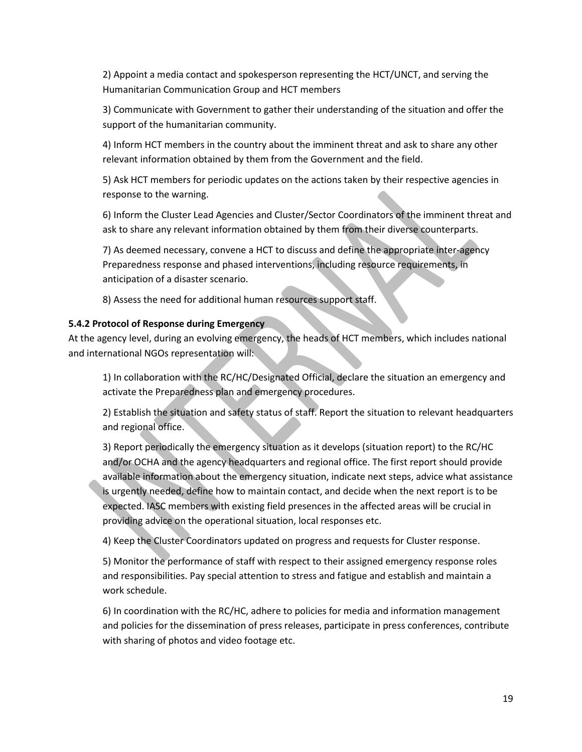2) Appoint a media contact and spokesperson representing the HCT/UNCT, and serving the Humanitarian Communication Group and HCT members

3) Communicate with Government to gather their understanding of the situation and offer the support of the humanitarian community.

4) Inform HCT members in the country about the imminent threat and ask to share any other relevant information obtained by them from the Government and the field.

5) Ask HCT members for periodic updates on the actions taken by their respective agencies in response to the warning.

6) Inform the Cluster Lead Agencies and Cluster/Sector Coordinators of the imminent threat and ask to share any relevant information obtained by them from their diverse counterparts.

7) As deemed necessary, convene a HCT to discuss and define the appropriate inter-agency Preparedness response and phased interventions, including resource requirements, in anticipation of a disaster scenario.

8) Assess the need for additional human resources support staff.

### <span id="page-18-0"></span>**5.4.2 Protocol of Response during Emergency**

At the agency level, during an evolving emergency, the heads of HCT members, which includes national and international NGOs representation will:

1) In collaboration with the RC/HC/Designated Official, declare the situation an emergency and activate the Preparedness plan and emergency procedures.

2) Establish the situation and safety status of staff. Report the situation to relevant headquarters and regional office.

3) Report periodically the emergency situation as it develops (situation report) to the RC/HC and/or OCHA and the agency headquarters and regional office. The first report should provide available information about the emergency situation, indicate next steps, advice what assistance is urgently needed, define how to maintain contact, and decide when the next report is to be expected. IASC members with existing field presences in the affected areas will be crucial in providing advice on the operational situation, local responses etc.

4) Keep the Cluster Coordinators updated on progress and requests for Cluster response.

5) Monitor the performance of staff with respect to their assigned emergency response roles and responsibilities. Pay special attention to stress and fatigue and establish and maintain a work schedule.

6) In coordination with the RC/HC, adhere to policies for media and information management and policies for the dissemination of press releases, participate in press conferences, contribute with sharing of photos and video footage etc.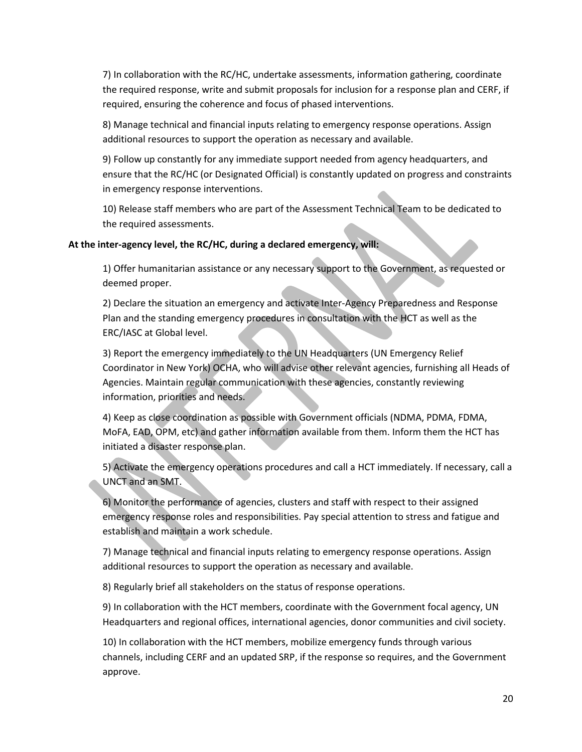7) In collaboration with the RC/HC, undertake assessments, information gathering, coordinate the required response, write and submit proposals for inclusion for a response plan and CERF, if required, ensuring the coherence and focus of phased interventions.

8) Manage technical and financial inputs relating to emergency response operations. Assign additional resources to support the operation as necessary and available.

9) Follow up constantly for any immediate support needed from agency headquarters, and ensure that the RC/HC (or Designated Official) is constantly updated on progress and constraints in emergency response interventions.

10) Release staff members who are part of the Assessment Technical Team to be dedicated to the required assessments.

### **At the inter-agency level, the RC/HC, during a declared emergency, will:**

1) Offer humanitarian assistance or any necessary support to the Government, as requested or deemed proper.

2) Declare the situation an emergency and activate Inter-Agency Preparedness and Response Plan and the standing emergency procedures in consultation with the HCT as well as the ERC/IASC at Global level.

3) Report the emergency immediately to the UN Headquarters (UN Emergency Relief Coordinator in New York) OCHA, who will advise other relevant agencies, furnishing all Heads of Agencies. Maintain regular communication with these agencies, constantly reviewing information, priorities and needs.

4) Keep as close coordination as possible with Government officials (NDMA, PDMA, FDMA, MoFA, EAD, OPM, etc) and gather information available from them. Inform them the HCT has initiated a disaster response plan.

5) Activate the emergency operations procedures and call a HCT immediately. If necessary, call a UNCT and an SMT.

6) Monitor the performance of agencies, clusters and staff with respect to their assigned emergency response roles and responsibilities. Pay special attention to stress and fatigue and establish and maintain a work schedule.

7) Manage technical and financial inputs relating to emergency response operations. Assign additional resources to support the operation as necessary and available.

8) Regularly brief all stakeholders on the status of response operations.

9) In collaboration with the HCT members, coordinate with the Government focal agency, UN Headquarters and regional offices, international agencies, donor communities and civil society.

10) In collaboration with the HCT members, mobilize emergency funds through various channels, including CERF and an updated SRP, if the response so requires, and the Government approve.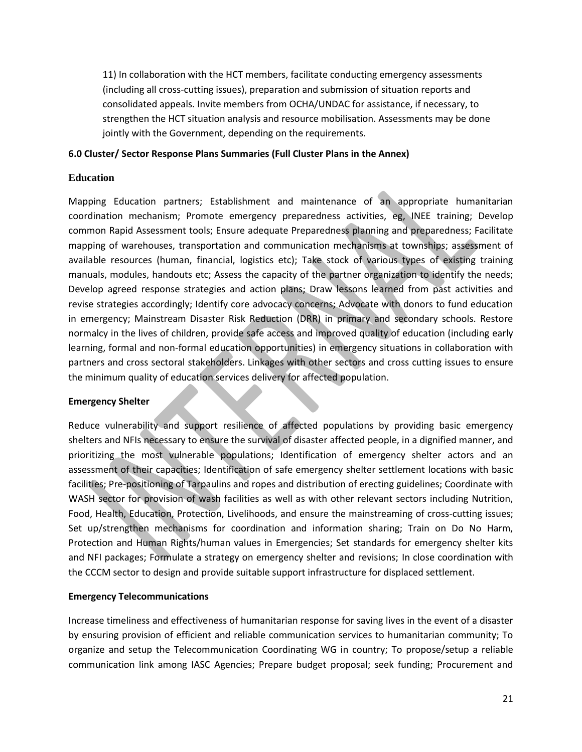11) In collaboration with the HCT members, facilitate conducting emergency assessments (including all cross-cutting issues), preparation and submission of situation reports and consolidated appeals. Invite members from OCHA/UNDAC for assistance, if necessary, to strengthen the HCT situation analysis and resource mobilisation. Assessments may be done jointly with the Government, depending on the requirements.

### <span id="page-20-0"></span>**6.0 Cluster/ Sector Response Plans Summaries (Full Cluster Plans in the Annex)**

### **Education**

Mapping Education partners; Establishment and maintenance of an appropriate humanitarian coordination mechanism; Promote emergency preparedness activities, eg, INEE training; Develop common Rapid Assessment tools; Ensure adequate Preparedness planning and preparedness; Facilitate mapping of warehouses, transportation and communication mechanisms at townships; assessment of available resources (human, financial, logistics etc); Take stock of various types of existing training manuals, modules, handouts etc; Assess the capacity of the partner organization to identify the needs; Develop agreed response strategies and action plans; Draw lessons learned from past activities and revise strategies accordingly; Identify core advocacy concerns; Advocate with donors to fund education in emergency; Mainstream Disaster Risk Reduction (DRR) in primary and secondary schools. Restore normalcy in the lives of children, provide safe access and improved quality of education (including early learning, formal and non-formal education opportunities) in emergency situations in collaboration with partners and cross sectoral stakeholders. Linkages with other sectors and cross cutting issues to ensure the minimum quality of education services delivery for affected population.

### **Emergency Shelter**

Reduce vulnerability and support resilience of affected populations by providing basic emergency shelters and NFIs necessary to ensure the survival of disaster affected people, in a dignified manner, and prioritizing the most vulnerable populations; Identification of emergency shelter actors and an assessment of their capacities; Identification of safe emergency shelter settlement locations with basic facilities; Pre-positioning of Tarpaulins and ropes and distribution of erecting guidelines; Coordinate with WASH sector for provision of wash facilities as well as with other relevant sectors including Nutrition, Food, Health, Education, Protection, Livelihoods, and ensure the mainstreaming of cross-cutting issues; Set up/strengthen mechanisms for coordination and information sharing; Train on Do No Harm, Protection and Human Rights/human values in Emergencies; Set standards for emergency shelter kits and NFI packages; Formulate a strategy on emergency shelter and revisions; In close coordination with the CCCM sector to design and provide suitable support infrastructure for displaced settlement.

### **Emergency Telecommunications**

Increase timeliness and effectiveness of humanitarian response for saving lives in the event of a disaster by ensuring provision of efficient and reliable communication services to humanitarian community; To organize and setup the Telecommunication Coordinating WG in country; To propose/setup a reliable communication link among IASC Agencies; Prepare budget proposal; seek funding; Procurement and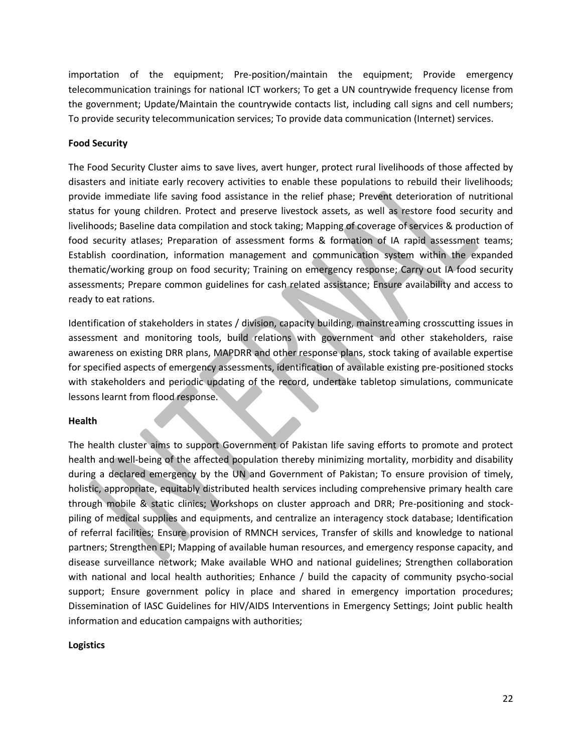importation of the equipment; Pre-position/maintain the equipment; Provide emergency telecommunication trainings for national ICT workers; To get a UN countrywide frequency license from the government; Update/Maintain the countrywide contacts list, including call signs and cell numbers; To provide security telecommunication services; To provide data communication (Internet) services.

### **Food Security**

The Food Security Cluster aims to save lives, avert hunger, protect rural livelihoods of those affected by disasters and initiate early recovery activities to enable these populations to rebuild their livelihoods; provide immediate life saving food assistance in the relief phase; Prevent deterioration of nutritional status for young children. Protect and preserve livestock assets, as well as restore food security and livelihoods; Baseline data compilation and stock taking; Mapping of coverage of services & production of food security atlases; Preparation of assessment forms & formation of IA rapid assessment teams; Establish coordination, information management and communication system within the expanded thematic/working group on food security; Training on emergency response; Carry out IA food security assessments; Prepare common guidelines for cash related assistance; Ensure availability and access to ready to eat rations.

Identification of stakeholders in states / division, capacity building, mainstreaming crosscutting issues in assessment and monitoring tools, build relations with government and other stakeholders, raise awareness on existing DRR plans, MAPDRR and other response plans, stock taking of available expertise for specified aspects of emergency assessments, identification of available existing pre-positioned stocks with stakeholders and periodic updating of the record, undertake tabletop simulations, communicate lessons learnt from flood response.

### **Health**

The health cluster aims to support Government of Pakistan life saving efforts to promote and protect health and well-being of the affected population thereby minimizing mortality, morbidity and disability during a declared emergency by the UN and Government of Pakistan; To ensure provision of timely, holistic, appropriate, equitably distributed health services including comprehensive primary health care through mobile & static clinics; Workshops on cluster approach and DRR; Pre-positioning and stockpiling of medical supplies and equipments, and centralize an interagency stock database; Identification of referral facilities; Ensure provision of RMNCH services, Transfer of skills and knowledge to national partners; Strengthen EPI; Mapping of available human resources, and emergency response capacity, and disease surveillance network; Make available WHO and national guidelines; Strengthen collaboration with national and local health authorities; Enhance / build the capacity of community psycho-social support; Ensure government policy in place and shared in emergency importation procedures; Dissemination of IASC Guidelines for HIV/AIDS Interventions in Emergency Settings; Joint public health information and education campaigns with authorities;

### **Logistics**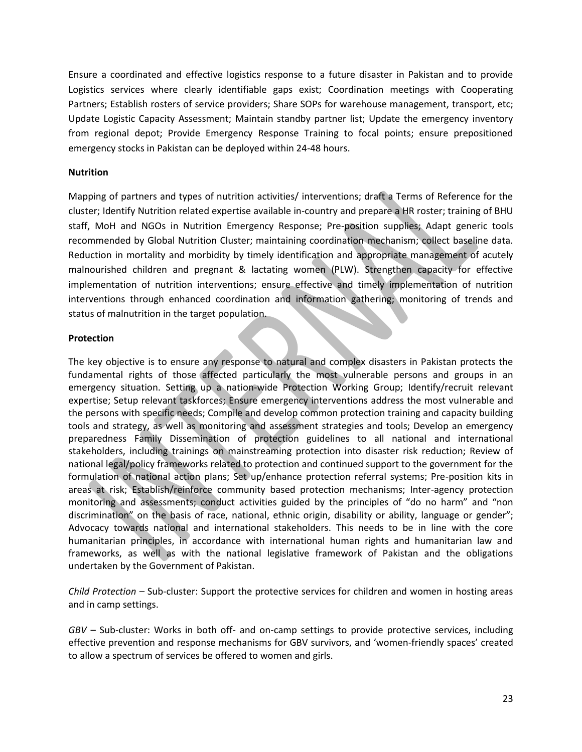Ensure a coordinated and effective logistics response to a future disaster in Pakistan and to provide Logistics services where clearly identifiable gaps exist; Coordination meetings with Cooperating Partners; Establish rosters of service providers; Share SOPs for warehouse management, transport, etc; Update Logistic Capacity Assessment; Maintain standby partner list; Update the emergency inventory from regional depot; Provide Emergency Response Training to focal points; ensure prepositioned emergency stocks in Pakistan can be deployed within 24-48 hours.

### **Nutrition**

Mapping of partners and types of nutrition activities/ interventions; draft a Terms of Reference for the cluster; Identify Nutrition related expertise available in-country and prepare a HR roster; training of BHU staff, MoH and NGOs in Nutrition Emergency Response; Pre-position supplies; Adapt generic tools recommended by Global Nutrition Cluster; maintaining coordination mechanism; collect baseline data. Reduction in mortality and morbidity by timely identification and appropriate management of acutely malnourished children and pregnant & lactating women (PLW). Strengthen capacity for effective implementation of nutrition interventions; ensure effective and timely implementation of nutrition interventions through enhanced coordination and information gathering; monitoring of trends and status of malnutrition in the target population.

### **Protection**

The key objective is to ensure any response to natural and complex disasters in Pakistan protects the fundamental rights of those affected particularly the most vulnerable persons and groups in an emergency situation. Setting up a nation-wide Protection Working Group; Identify/recruit relevant expertise; Setup relevant taskforces; Ensure emergency interventions address the most vulnerable and the persons with specific needs; Compile and develop common protection training and capacity building tools and strategy, as well as monitoring and assessment strategies and tools; Develop an emergency preparedness Family Dissemination of protection guidelines to all national and international stakeholders, including trainings on mainstreaming protection into disaster risk reduction; Review of national legal/policy frameworks related to protection and continued support to the government for the formulation of national action plans; Set up/enhance protection referral systems; Pre-position kits in areas at risk; Establish/reinforce community based protection mechanisms; Inter-agency protection monitoring and assessments; conduct activities guided by the principles of "do no harm" and "non discrimination" on the basis of race, national, ethnic origin, disability or ability, language or gender"; Advocacy towards national and international stakeholders. This needs to be in line with the core humanitarian principles, in accordance with international human rights and humanitarian law and frameworks, as well as with the national legislative framework of Pakistan and the obligations undertaken by the Government of Pakistan.

*Child Protection –* Sub-cluster: Support the protective services for children and women in hosting areas and in camp settings.

*GBV* – Sub-cluster: Works in both off- and on-camp settings to provide protective services, including effective prevention and response mechanisms for GBV survivors, and 'women-friendly spaces' created to allow a spectrum of services be offered to women and girls.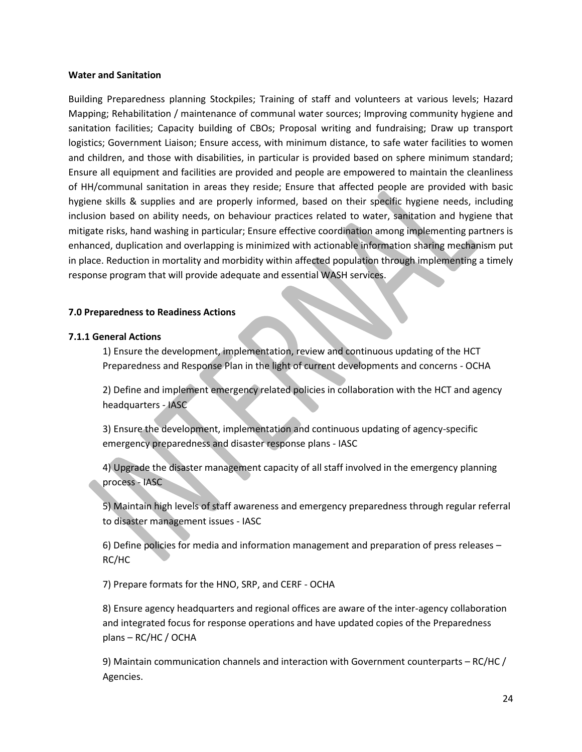#### **Water and Sanitation**

Building Preparedness planning Stockpiles; Training of staff and volunteers at various levels; Hazard Mapping; Rehabilitation / maintenance of communal water sources; Improving community hygiene and sanitation facilities; Capacity building of CBOs; Proposal writing and fundraising; Draw up transport logistics; Government Liaison; Ensure access, with minimum distance, to safe water facilities to women and children, and those with disabilities, in particular is provided based on sphere minimum standard; Ensure all equipment and facilities are provided and people are empowered to maintain the cleanliness of HH/communal sanitation in areas they reside; Ensure that affected people are provided with basic hygiene skills & supplies and are properly informed, based on their specific hygiene needs, including inclusion based on ability needs, on behaviour practices related to water, sanitation and hygiene that mitigate risks, hand washing in particular; Ensure effective coordination among implementing partners is enhanced, duplication and overlapping is minimized with actionable information sharing mechanism put in place. Reduction in mortality and morbidity within affected population through implementing a timely response program that will provide adequate and essential WASH services.

### <span id="page-23-0"></span>**7.0 Preparedness to Readiness Actions**

### <span id="page-23-1"></span>**7.1.1 General Actions**

1) Ensure the development, implementation, review and continuous updating of the HCT Preparedness and Response Plan in the light of current developments and concerns - OCHA

2) Define and implement emergency related policies in collaboration with the HCT and agency headquarters - IASC

3) Ensure the development, implementation and continuous updating of agency-specific emergency preparedness and disaster response plans - IASC

4) Upgrade the disaster management capacity of all staff involved in the emergency planning process - IASC

5) Maintain high levels of staff awareness and emergency preparedness through regular referral to disaster management issues - IASC

6) Define policies for media and information management and preparation of press releases – RC/HC

7) Prepare formats for the HNO, SRP, and CERF - OCHA

8) Ensure agency headquarters and regional offices are aware of the inter-agency collaboration and integrated focus for response operations and have updated copies of the Preparedness plans – RC/HC / OCHA

9) Maintain communication channels and interaction with Government counterparts – RC/HC / Agencies.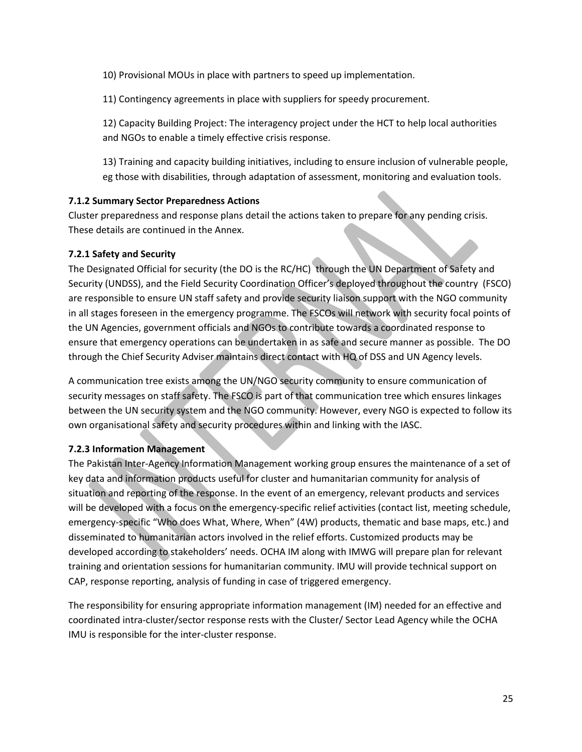10) Provisional MOUs in place with partners to speed up implementation.

11) Contingency agreements in place with suppliers for speedy procurement.

12) Capacity Building Project: The interagency project under the HCT to help local authorities and NGOs to enable a timely effective crisis response.

13) Training and capacity building initiatives, including to ensure inclusion of vulnerable people, eg those with disabilities, through adaptation of assessment, monitoring and evaluation tools.

## <span id="page-24-0"></span>**7.1.2 Summary Sector Preparedness Actions**

Cluster preparedness and response plans detail the actions taken to prepare for any pending crisis. These details are continued in the Annex.

### <span id="page-24-1"></span>**7.2.1 Safety and Security**

<span id="page-24-2"></span>The Designated Official for security (the DO is the RC/HC) through the UN Department of Safety and Security (UNDSS), and the Field Security Coordination Officer's deployed throughout the country (FSCO) are responsible to ensure UN staff safety and provide security liaison support with the NGO community in all stages foreseen in the emergency programme. The FSCOs will network with security focal points of the UN Agencies, government officials and NGOs to contribute towards a coordinated response to ensure that emergency operations can be undertaken in as safe and secure manner as possible. The DO through the Chief Security Adviser maintains direct contact with HQ of DSS and UN Agency levels.

A communication tree exists among the UN/NGO security community to ensure communication of security messages on staff safety. The FSCO is part of that communication tree which ensures linkages between the UN security system and the NGO community. However, every NGO is expected to follow its own organisational safety and security procedures within and linking with the IASC.

## <span id="page-24-3"></span>**7.2.3 Information Management**

The Pakistan Inter-Agency Information Management working group ensures the maintenance of a set of key data and information products useful for cluster and humanitarian community for analysis of situation and reporting of the response. In the event of an emergency, relevant products and services will be developed with a focus on the emergency-specific relief activities (contact list, meeting schedule, emergency-specific "Who does What, Where, When" (4W) products, thematic and base maps, etc.) and disseminated to humanitarian actors involved in the relief efforts. Customized products may be developed according to stakeholders' needs. OCHA IM along with IMWG will prepare plan for relevant training and orientation sessions for humanitarian community. IMU will provide technical support on CAP, response reporting, analysis of funding in case of triggered emergency.

The responsibility for ensuring appropriate information management (IM) needed for an effective and coordinated intra-cluster/sector response rests with the Cluster/ Sector Lead Agency while the OCHA IMU is responsible for the inter-cluster response.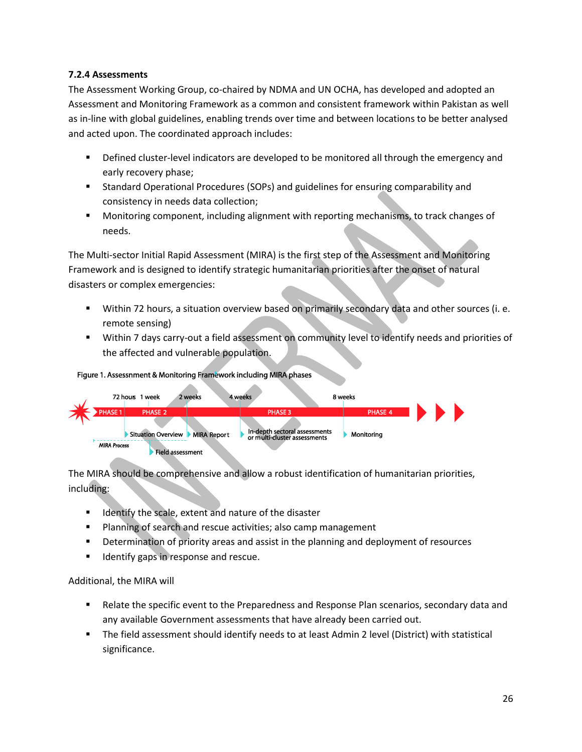## <span id="page-25-0"></span>**7.2.4 Assessments**

The Assessment Working Group, co-chaired by NDMA and UN OCHA, has developed and adopted an Assessment and Monitoring Framework as a common and consistent framework within Pakistan as well as in-line with global guidelines, enabling trends over time and between locations to be better analysed and acted upon. The coordinated approach includes:

- **•** Defined cluster-level indicators are developed to be monitored all through the emergency and early recovery phase;
- Standard Operational Procedures (SOPs) and guidelines for ensuring comparability and consistency in needs data collection;
- Monitoring component, including alignment with reporting mechanisms, to track changes of needs.

The Multi-sector Initial Rapid Assessment (MIRA) is the first step of the Assessment and Monitoring Framework and is designed to identify strategic humanitarian priorities after the onset of natural disasters or complex emergencies:

- Within 72 hours, a situation overview based on primarily secondary data and other sources (i. e. remote sensing)
- Within 7 days carry-out a field assessment on community level to identify needs and priorities of the affected and vulnerable population.

### Figure 1. Assessnment & Monitoring Framework including MIRA phases



The MIRA should be comprehensive and allow a robust identification of humanitarian priorities, including:

- Identify the scale, extent and nature of the disaster
- Planning of search and rescue activities; also camp management
- **•** Determination of priority areas and assist in the planning and deployment of resources
- Identify gaps in response and rescue.

Additional, the MIRA will

- **Relate the specific event to the Preparedness and Response Plan scenarios, secondary data and** any available Government assessments that have already been carried out.
- The field assessment should identify needs to at least Admin 2 level (District) with statistical significance.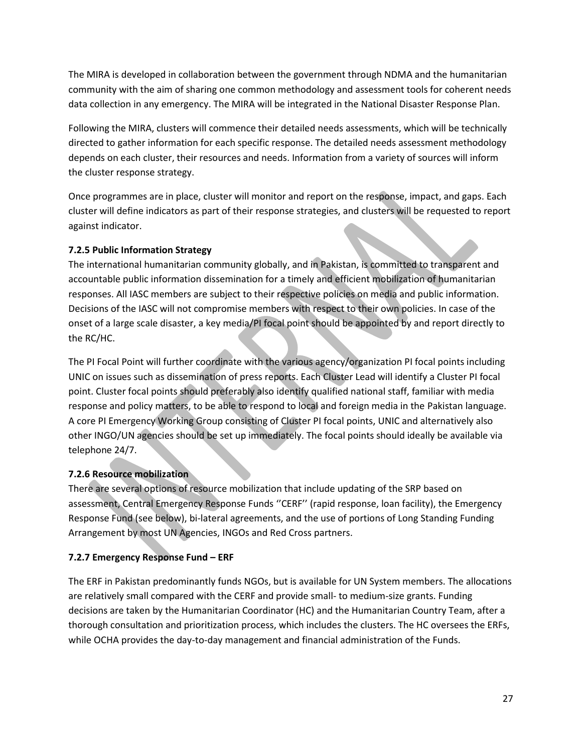The MIRA is developed in collaboration between the government through NDMA and the humanitarian community with the aim of sharing one common methodology and assessment tools for coherent needs data collection in any emergency. The MIRA will be integrated in the National Disaster Response Plan.

Following the MIRA, clusters will commence their detailed needs assessments, which will be technically directed to gather information for each specific response. The detailed needs assessment methodology depends on each cluster, their resources and needs. Information from a variety of sources will inform the cluster response strategy.

Once programmes are in place, cluster will monitor and report on the response, impact, and gaps. Each cluster will define indicators as part of their response strategies, and clusters will be requested to report against indicator.

# <span id="page-26-0"></span>**7.2.5 Public Information Strategy**

The international humanitarian community globally, and in Pakistan, is committed to transparent and accountable public information dissemination for a timely and efficient mobilization of humanitarian responses. All IASC members are subject to their respective policies on media and public information. Decisions of the IASC will not compromise members with respect to their own policies. In case of the onset of a large scale disaster, a key media/PI focal point should be appointed by and report directly to the RC/HC.

The PI Focal Point will further coordinate with the various agency/organization PI focal points including UNIC on issues such as dissemination of press reports. Each Cluster Lead will identify a Cluster PI focal point. Cluster focal points should preferably also identify qualified national staff, familiar with media response and policy matters, to be able to respond to local and foreign media in the Pakistan language. A core PI Emergency Working Group consisting of Cluster PI focal points, UNIC and alternatively also other INGO/UN agencies should be set up immediately. The focal points should ideally be available via telephone 24/7.

# <span id="page-26-1"></span>**7.2.6 Resource mobilization**

There are several options of resource mobilization that include updating of the SRP based on assessment, Central Emergency Response Funds ''CERF'' (rapid response, loan facility), the Emergency Response Fund (see below), bi-lateral agreements, and the use of portions of Long Standing Funding Arrangement by most UN Agencies, INGOs and Red Cross partners.

## **7.2.7 Emergency Response Fund – ERF**

The ERF in Pakistan predominantly funds NGOs, but is available for UN System members. The allocations are relatively small compared with the CERF and provide small- to medium-size grants. Funding decisions are taken by the Humanitarian Coordinator (HC) and the Humanitarian Country Team, after a thorough consultation and prioritization process, which includes the clusters. The HC oversees the ERFs, while OCHA provides the day-to-day management and financial administration of the Funds.